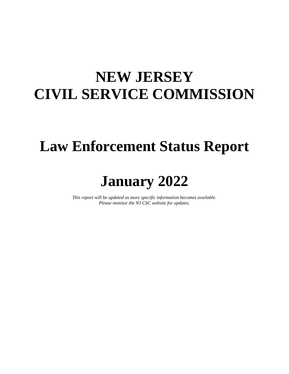### **NEW JERSEY CIVIL SERVICE COMMISSION**

#### **Law Enforcement Status Report**

### **January 2022**

*This report will be updated as more specific information becomes available. Please monitor the NJ CSC website for updates.*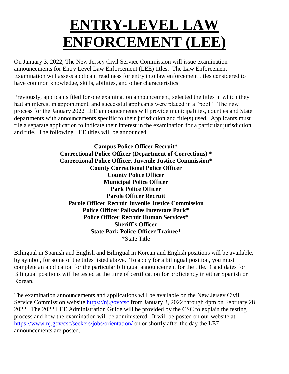# **ENTRY-LEVEL LAW ENFORCEMENT (LEE)**

On January 3, 2022, The New Jersey Civil Service Commission will issue examination announcements for Entry Level Law Enforcement (LEE) titles. The Law Enforcement Examination will assess applicant readiness for entry into law enforcement titles considered to have common knowledge, skills, abilities, and other characteristics.

Previously, applicants filed for one examination announcement, selected the titles in which they had an interest in appointment, and successful applicants were placed in a "pool." The new process for the January 2022 LEE announcements will provide municipalities, counties and State departments with announcements specific to their jurisdiction and title(s) used. Applicants must file a separate application to indicate their interest in the examination for a particular jurisdiction and title. The following LEE titles will be announced:

> **Campus Police Officer Recruit\* Correctional Police Officer (Department of Corrections) \* Correctional Police Officer, Juvenile Justice Commission\* County Correctional Police Officer County Police Officer Municipal Police Officer Park Police Officer Parole Officer Recruit Parole Officer Recruit Juvenile Justice Commission Police Officer Palisades Interstate Park\* Police Officer Recruit Human Services\* Sheriff's Officer State Park Police Officer Trainee\*** \*State Title

Bilingual in Spanish and English and Bilingual in Korean and English positions will be available, by symbol, for some of the titles listed above. To apply for a bilingual position, you must complete an application for the particular bilingual announcement for the title. Candidates for Bilingual positions will be tested at the time of certification for proficiency in either Spanish or Korean.

The examination announcements and applications will be available on the New Jersey Civil Service Commission website [https://nj.gov/csc](https://nj.gov/csc/) from January 3, 2022 through 4pm on February 28 2022. The 2022 LEE Administration Guide will be provided by the CSC to explain the testing process and how the examination will be administered. It will be posted on our website at <https://www.nj.gov/csc/seekers/jobs/orientation/> on or shortly after the day the LEE announcements are posted.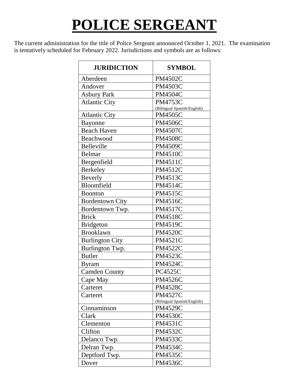# **POLICE SERGEANT**

The current administration for the title of Police Sergeant announced October 1, 2021. The examination is tentatively scheduled for February 2022. Jurisdictions and symbols are as follows:

| <b>JURIDICTION</b>     | <b>SYMBOL</b>               |
|------------------------|-----------------------------|
| Aberdeen               | <b>PM4502C</b>              |
| Andover                | <b>PM4503C</b>              |
| <b>Asbury Park</b>     | <b>PM4504C</b>              |
| <b>Atlantic City</b>   | <b>PM4753C</b>              |
|                        | (Bilingual Spanish/English) |
| <b>Atlantic City</b>   | <b>PM4505C</b>              |
| Bayonne                | <b>PM4506C</b>              |
| <b>Beach Haven</b>     | <b>PM4507C</b>              |
| Beachwood              | <b>PM4508C</b>              |
| Belleville             | <b>PM4509C</b>              |
| Belmar                 | <b>PM4510C</b>              |
| Bergenfield            | <b>PM4511C</b>              |
| Berkeley               | <b>PM4512C</b>              |
| <b>Beverly</b>         | <b>PM4513C</b>              |
| Bloomfield             | <b>PM4514C</b>              |
| <b>Boonton</b>         | <b>PM4515C</b>              |
| <b>Bordentown City</b> | <b>PM4516C</b>              |
| Bordentown Twp.        | <b>PM4517C</b>              |
| <b>Brick</b>           | <b>PM4518C</b>              |
| <b>Bridgeton</b>       | PM4519C                     |
| <b>Brooklawn</b>       | <b>PM4520C</b>              |
| <b>Burlington City</b> | <b>PM4521C</b>              |
| Burlington Twp.        | <b>PM4522C</b>              |
| <b>Butler</b>          | <b>PM4523C</b>              |
| <b>Byram</b>           | <b>PM4524C</b>              |
| <b>Camden County</b>   | <b>PC4525C</b>              |
| Cape May               | <b>PM4526C</b>              |
| Carteret               | <b>PM4528C</b>              |
| Carteret               | <b>PM4527C</b>              |
|                        | (Bilingual Spanish/English) |
| Cinnaminson            | <b>PM4529C</b>              |
| Clark                  | <b>PM4530C</b>              |
| Clementon              | <b>PM4531C</b>              |
| Clifton                | <b>PM4532C</b>              |
| Delanco Twp.           | <b>PM4533C</b>              |
| Delran Twp.            | <b>PM4534C</b>              |
| Deptford Twp.          | <b>PM4535C</b>              |
| Dover                  | <b>PM4536C</b>              |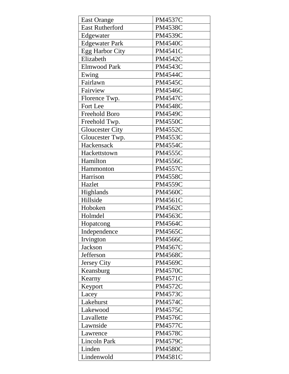| <b>East Orange</b>     | <b>PM4537C</b> |
|------------------------|----------------|
| <b>East Rutherford</b> | <b>PM4538C</b> |
| Edgewater              | <b>PM4539C</b> |
| <b>Edgewater Park</b>  | <b>PM4540C</b> |
| <b>Egg Harbor City</b> | <b>PM4541C</b> |
| Elizabeth              | <b>PM4542C</b> |
| <b>Elmwood Park</b>    | <b>PM4543C</b> |
| Ewing                  | <b>PM4544C</b> |
| Fairlawn               | <b>PM4545C</b> |
| Fairview               | <b>PM4546C</b> |
| Florence Twp.          | <b>PM4547C</b> |
| Fort Lee               | <b>PM4548C</b> |
| Freehold Boro          | <b>PM4549C</b> |
| Freehold Twp.          | <b>PM4550C</b> |
| <b>Gloucester City</b> | <b>PM4552C</b> |
| Gloucester Twp.        | <b>PM4553C</b> |
| Hackensack             | <b>PM4554C</b> |
| Hackettstown           | <b>PM4555C</b> |
| Hamilton               | <b>PM4556C</b> |
| Hammonton              | <b>PM4557C</b> |
| Harrison               | <b>PM4558C</b> |
| Hazlet                 | <b>PM4559C</b> |
| Highlands              | <b>PM4560C</b> |
| Hillside               | <b>PM4561C</b> |
| Hoboken                | <b>PM4562C</b> |
| Holmdel                | <b>PM4563C</b> |
| Hopatcong              | <b>PM4564C</b> |
| Independence           | <b>PM4565C</b> |
| Irvington              | <b>PM4566C</b> |
| <b>Jackson</b>         | <b>PM4567C</b> |
| Jefferson              | <b>PM4568C</b> |
| Jersey City            | <b>PM4569C</b> |
| Keansburg              | <b>PM4570C</b> |
| Kearny                 | <b>PM4571C</b> |
| Keyport                | <b>PM4572C</b> |
| Lacey                  | <b>PM4573C</b> |
| Lakehurst              | <b>PM4574C</b> |
| Lakewood               | <b>PM4575C</b> |
| Lavallette             | <b>PM4576C</b> |
| Lawnside               | <b>PM4577C</b> |
| Lawrence               | <b>PM4578C</b> |
| <b>Lincoln Park</b>    | <b>PM4579C</b> |
| Linden                 | <b>PM4580C</b> |
| Lindenwold             | <b>PM4581C</b> |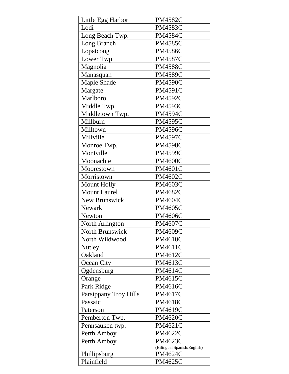| Little Egg Harbor      | <b>PM4582C</b>              |
|------------------------|-----------------------------|
| Lodi                   | <b>PM4583C</b>              |
| Long Beach Twp.        | <b>PM4584C</b>              |
| Long Branch            | <b>PM4585C</b>              |
| Lopatcong              | <b>PM4586C</b>              |
| Lower Twp.             | <b>PM4587C</b>              |
| Magnolia               | <b>PM4588C</b>              |
| Manasquan              | <b>PM4589C</b>              |
| Maple Shade            | <b>PM4590C</b>              |
| Margate                | <b>PM4591C</b>              |
| Marlboro               | <b>PM4592C</b>              |
| Middle Twp.            | <b>PM4593C</b>              |
| Middletown Twp.        | <b>PM4594C</b>              |
| Millburn               | <b>PM4595C</b>              |
| Milltown               | <b>PM4596C</b>              |
| Millville              | <b>PM4597C</b>              |
| Monroe Twp.            | <b>PM4598C</b>              |
| Montville              | <b>PM4599C</b>              |
| Moonachie              | <b>PM4600C</b>              |
| Moorestown             | <b>PM4601C</b>              |
| Morristown             | <b>PM4602C</b>              |
| <b>Mount Holly</b>     | <b>PM4603C</b>              |
| <b>Mount Laurel</b>    | <b>PM4682C</b>              |
| <b>New Brunswick</b>   | <b>PM4604C</b>              |
| <b>Newark</b>          | <b>PM4605C</b>              |
| Newton                 | <b>PM4606C</b>              |
| North Arlington        | <b>PM4607C</b>              |
| <b>North Brunswick</b> | <b>PM4609C</b>              |
| North Wildwood         | <b>PM4610C</b>              |
| Nutley                 | PM4611C                     |
| Oakland                | <b>PM4612C</b>              |
| Ocean City             | PM4613C                     |
| Ogdensburg             | PM4614C                     |
| Orange                 | <b>PM4615C</b>              |
| Park Ridge             | <b>PM4616C</b>              |
| Parsippany Troy Hills  | PM4617C                     |
| Passaic                | PM4618C                     |
| Paterson               | PM4619C                     |
| Pemberton Twp.         | <b>PM4620C</b>              |
| Pennsauken twp.        | PM4621C                     |
| Perth Amboy            | <b>PM4622C</b>              |
| Perth Amboy            | <b>PM4623C</b>              |
|                        | (Bilingual Spanish/English) |
| Phillipsburg           | PM4624C                     |
| Plainfield             | PM4625C                     |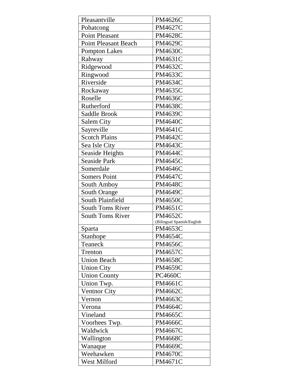| Pleasantville               | <b>PM4626C</b>             |
|-----------------------------|----------------------------|
| Pohatcong                   | <b>PM4627C</b>             |
| <b>Point Pleasant</b>       | <b>PM4628C</b>             |
| <b>Point Pleasant Beach</b> | <b>PM4629C</b>             |
| <b>Pompton Lakes</b>        | <b>PM4630C</b>             |
| Rahway                      | PM4631C                    |
| Ridgewood                   | PM4632C                    |
| Ringwood                    | PM4633C                    |
| Riverside                   | <b>PM4634C</b>             |
| Rockaway                    | <b>PM4635C</b>             |
| Roselle                     | <b>PM4636C</b>             |
| Rutherford                  | <b>PM4638C</b>             |
| Saddle Brook                | <b>PM4639C</b>             |
| <b>Salem City</b>           | <b>PM4640C</b>             |
| Sayreville                  | <b>PM4641C</b>             |
| <b>Scotch Plains</b>        | <b>PM4642C</b>             |
| Sea Isle City               | <b>PM4643C</b>             |
| <b>Seaside Heights</b>      | <b>PM4644C</b>             |
| <b>Seaside Park</b>         | <b>PM4645C</b>             |
| Somerdale                   | <b>PM4646C</b>             |
| <b>Somers Point</b>         | <b>PM4647C</b>             |
| South Amboy                 | <b>PM4648C</b>             |
| <b>South Orange</b>         | <b>PM4649C</b>             |
| South Plainfield            | <b>PM4650C</b>             |
| <b>South Toms River</b>     | <b>PM4651C</b>             |
| <b>South Toms River</b>     | <b>PM4652C</b>             |
|                             | (Bilingual Spanish/English |
| Sparta                      | PM4653C                    |
| Stanhope                    | <b>PM4654C</b>             |
| Teaneck                     | <b>PM4656C</b>             |
| Trenton                     | <b>PM4657C</b>             |
| <b>Union Beach</b>          | <b>PM4658C</b>             |
| <b>Union City</b>           | <b>PM4659C</b>             |
| <b>Union County</b>         | <b>PC4660C</b>             |
| Union Twp.                  | <b>PM4661C</b>             |
| <b>Ventnor City</b>         | <b>PM4662C</b>             |
| Vernon                      | PM4663C                    |
| Verona                      | <b>PM4664C</b>             |
| Vineland                    | <b>PM4665C</b>             |
| Voorhees Twp.               | <b>PM4666C</b>             |
| Waldwick                    | PM4667C                    |
| Wallington                  | <b>PM4668C</b>             |
| Wanaque                     | <b>PM4669C</b>             |
| Weehawken                   | <b>PM4670C</b>             |
| West Milford                | PM4671C                    |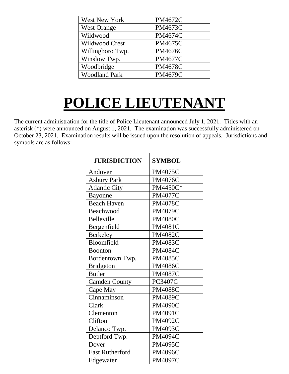| West New York        | <b>PM4672C</b> |
|----------------------|----------------|
| <b>West Orange</b>   | PM4673C        |
| Wildwood             | <b>PM4674C</b> |
| Wildwood Crest       | <b>PM4675C</b> |
| Willingboro Twp.     | <b>PM4676C</b> |
| Winslow Twp.         | <b>PM4677C</b> |
| Woodbridge           | <b>PM4678C</b> |
| <b>Woodland Park</b> | <b>PM4679C</b> |

# **POLICE LIEUTENANT**

The current administration for the title of Police Lieutenant announced July 1, 2021. Titles with an asterisk (\*) were announced on August 1, 2021. The examination was successfully administered on October 23, 2021. Examination results will be issued upon the resolution of appeals. Jurisdictions and symbols are as follows:

| <b>JURISDICTION</b>    | <b>SYMBOL</b>  |
|------------------------|----------------|
| Andover                | <b>PM4075C</b> |
| <b>Asbury Park</b>     | <b>PM4076C</b> |
| <b>Atlantic City</b>   | PM4450C*       |
| <b>Bayonne</b>         | <b>PM4077C</b> |
| <b>Beach Haven</b>     | <b>PM4078C</b> |
| Beachwood              | <b>PM4079C</b> |
| <b>Belleville</b>      | <b>PM4080C</b> |
| Bergenfield            | <b>PM4081C</b> |
| <b>Berkeley</b>        | <b>PM4082C</b> |
| Bloomfield             | <b>PM4083C</b> |
| <b>Boonton</b>         | <b>PM4084C</b> |
| Bordentown Twp.        | <b>PM4085C</b> |
| <b>Bridgeton</b>       | <b>PM4086C</b> |
| <b>Butler</b>          | <b>PM4087C</b> |
| <b>Camden County</b>   | PC3407C        |
| Cape May               | <b>PM4088C</b> |
| Cinnaminson            | <b>PM4089C</b> |
| Clark                  | <b>PM4090C</b> |
| Clementon              | <b>PM4091C</b> |
| Clifton                | <b>PM4092C</b> |
| Delanco Twp.           | <b>PM4093C</b> |
| Deptford Twp.          | <b>PM4094C</b> |
| Dover                  | <b>PM4095C</b> |
| <b>East Rutherford</b> | <b>PM4096C</b> |
| Edgewater              | <b>PM4097C</b> |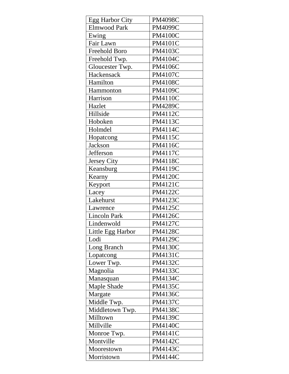| <b>PM4098C</b> |
|----------------|
| <b>PM4099C</b> |
| <b>PM4100C</b> |
| <b>PM4101C</b> |
| <b>PM4103C</b> |
| PM4104C        |
| <b>PM4106C</b> |
| <b>PM4107C</b> |
| <b>PM4108C</b> |
| PM4109C        |
| <b>PM4110C</b> |
| <b>PM4289C</b> |
| PM4112C        |
| PM4113C        |
| PM4114C        |
| <b>PM4115C</b> |
| <b>PM4116C</b> |
| <b>PM4117C</b> |
| <b>PM4118C</b> |
| PM4119C        |
| <b>PM4120C</b> |
| <b>PM4121C</b> |
| <b>PM4122C</b> |
| <b>PM4123C</b> |
| <b>PM4125C</b> |
| <b>PM4126C</b> |
| <b>PM4127C</b> |
| PM4128C        |
| <b>PM4129C</b> |
| <b>PM4130C</b> |
| PM4131C        |
| PM4132C        |
| <b>PM4133C</b> |
| <b>PM4134C</b> |
| <b>PM4135C</b> |
| <b>PM4136C</b> |
| <b>PM4137C</b> |
| <b>PM4138C</b> |
| <b>PM4139C</b> |
| <b>PM4140C</b> |
| <b>PM4141C</b> |
| <b>PM4142C</b> |
| PM4143C        |
|                |
|                |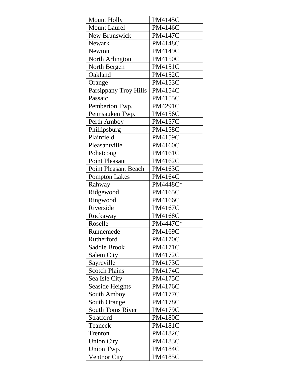| <b>Mount Holly</b>          | <b>PM4145C</b> |
|-----------------------------|----------------|
| <b>Mount Laurel</b>         | <b>PM4146C</b> |
| <b>New Brunswick</b>        | <b>PM4147C</b> |
| <b>Newark</b>               | <b>PM4148C</b> |
| <b>Newton</b>               | PM4149C        |
| North Arlington             | <b>PM4150C</b> |
| North Bergen                | <b>PM4151C</b> |
| Oakland                     | <b>PM4152C</b> |
| Orange                      | <b>PM4153C</b> |
| Parsippany Troy Hills       | <b>PM4154C</b> |
| Passaic                     | <b>PM4155C</b> |
| Pemberton Twp.              | <b>PM4291C</b> |
| Pennsauken Twp.             | <b>PM4156C</b> |
| Perth Amboy                 | <b>PM4157C</b> |
| Phillipsburg                | <b>PM4158C</b> |
| Plainfield                  | <b>PM4159C</b> |
| Pleasantville               | <b>PM4160C</b> |
| Pohatcong                   | <b>PM4161C</b> |
| <b>Point Pleasant</b>       | PM4162C        |
| <b>Point Pleasant Beach</b> | <b>PM4163C</b> |
| <b>Pompton Lakes</b>        | <b>PM4164C</b> |
| Rahway                      | PM4448C*       |
| Ridgewood                   | PM4165C        |
| Ringwood                    | <b>PM4166C</b> |
| Riverside                   | <b>PM4167C</b> |
| Rockaway                    | <b>PM4168C</b> |
| Roselle                     | PM4447C*       |
| Runnemede                   | PM4169C        |
| Rutherford                  | <b>PM4170C</b> |
| Saddle Brook                | <b>PM4171C</b> |
| <b>Salem City</b>           | <b>PM4172C</b> |
| Sayreville                  | PM4173C        |
| <b>Scotch Plains</b>        | <b>PM4174C</b> |
| Sea Isle City               | <b>PM4175C</b> |
| <b>Seaside Heights</b>      | <b>PM4176C</b> |
| South Amboy                 | <b>PM4177C</b> |
| <b>South Orange</b>         | <b>PM4178C</b> |
| <b>South Toms River</b>     | PM4179C        |
| Stratford                   | <b>PM4180C</b> |
| Teaneck                     | <b>PM4181C</b> |
| Trenton                     | <b>PM4182C</b> |
| <b>Union City</b>           | <b>PM4183C</b> |
| Union Twp.                  | <b>PM4184C</b> |
| Ventnor City                | <b>PM4185C</b> |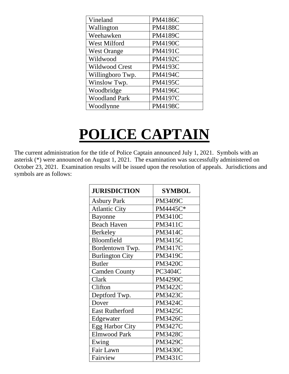| Vineland              | <b>PM4186C</b> |
|-----------------------|----------------|
| Wallington            | <b>PM4188C</b> |
| Weehawken             | <b>PM4189C</b> |
| <b>West Milford</b>   | <b>PM4190C</b> |
| <b>West Orange</b>    | <b>PM4191C</b> |
| Wildwood              | <b>PM4192C</b> |
| <b>Wildwood Crest</b> | PM4193C        |
| Willingboro Twp.      | PM4194C        |
| Winslow Twp.          | <b>PM4195C</b> |
| Woodbridge            | <b>PM4196C</b> |
| <b>Woodland Park</b>  | <b>PM4197C</b> |
| Woodlynne             | <b>PM4198C</b> |

#### **POLICE CAPTAIN**

The current administration for the title of Police Captain announced July 1, 2021. Symbols with an asterisk (\*) were announced on August 1, 2021. The examination was successfully administered on October 23, 2021. Examination results will be issued upon the resolution of appeals. Jurisdictions and symbols are as follows:

| <b>JURISDICTION</b>    | <b>SYMBOL</b>  |
|------------------------|----------------|
| <b>Asbury Park</b>     | <b>PM3409C</b> |
| <b>Atlantic City</b>   | PM4445C*       |
| Bayonne                | <b>PM3410C</b> |
| <b>Beach Haven</b>     | <b>PM3411C</b> |
| <b>Berkeley</b>        | <b>PM3414C</b> |
| Bloomfield             | <b>PM3415C</b> |
| Bordentown Twp.        | <b>PM3417C</b> |
| <b>Burlington City</b> | <b>PM3419C</b> |
| <b>Butler</b>          | <b>PM3420C</b> |
| <b>Camden County</b>   | PC3404C        |
| Clark                  | <b>PM4290C</b> |
| Clifton                | <b>PM3422C</b> |
| Deptford Twp.          | <b>PM3423C</b> |
| Dover                  | <b>PM3424C</b> |
| <b>East Rutherford</b> | <b>PM3425C</b> |
| Edgewater              | <b>PM3426C</b> |
| <b>Egg Harbor City</b> | <b>PM3427C</b> |
| <b>Elmwood Park</b>    | <b>PM3428C</b> |
| Ewing                  | <b>PM3429C</b> |
| Fair Lawn              | <b>PM3430C</b> |
| Fairview               | <b>PM3431C</b> |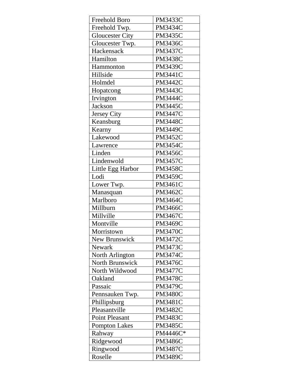| Freehold Boro          | <b>PM3433C</b> |
|------------------------|----------------|
| Freehold Twp.          | <b>PM3434C</b> |
| <b>Gloucester City</b> | <b>PM3435C</b> |
| Gloucester Twp.        | <b>PM3436C</b> |
| Hackensack             | <b>PM3437C</b> |
| Hamilton               | <b>PM3438C</b> |
| Hammonton              | <b>PM3439C</b> |
| Hillside               | <b>PM3441C</b> |
| Holmdel                | <b>PM3442C</b> |
| Hopatcong              | <b>PM3443C</b> |
| Irvington              | <b>PM3444C</b> |
| Jackson                | <b>PM3445C</b> |
| Jersey City            | <b>PM3447C</b> |
| Keansburg              | <b>PM3448C</b> |
| Kearny                 | <b>PM3449C</b> |
| Lakewood               | <b>PM3452C</b> |
| Lawrence               | <b>PM3454C</b> |
| Linden                 | <b>PM3456C</b> |
| Lindenwold             | <b>PM3457C</b> |
| Little Egg Harbor      | <b>PM3458C</b> |
| Lodi                   | <b>PM3459C</b> |
| Lower Twp.             | <b>PM3461C</b> |
| Manasquan              | <b>PM3462C</b> |
| Marlboro               | <b>PM3464C</b> |
| Millburn               | <b>PM3466C</b> |
| Millville              | <b>PM3467C</b> |
| Montville              | <b>PM3469C</b> |
| Morristown             | <b>PM3470C</b> |
| New Brunswick          | <b>PM3472C</b> |
| <b>Newark</b>          | <b>PM3473C</b> |
| North Arlington        | <b>PM3474C</b> |
| <b>North Brunswick</b> | <b>PM3476C</b> |
| North Wildwood         | <b>PM3477C</b> |
| Oakland                | <b>PM3478C</b> |
| Passaic                | <b>PM3479C</b> |
| Pennsauken Twp.        | <b>PM3480C</b> |
| Phillipsburg           | <b>PM3481C</b> |
| Pleasantville          | <b>PM3482C</b> |
| <b>Point Pleasant</b>  | <b>PM3483C</b> |
| <b>Pompton Lakes</b>   | <b>PM3485C</b> |
| Rahway                 | PM4446C*       |
| Ridgewood              | <b>PM3486C</b> |
| Ringwood               | <b>PM3487C</b> |
| Roselle                | <b>PM3489C</b> |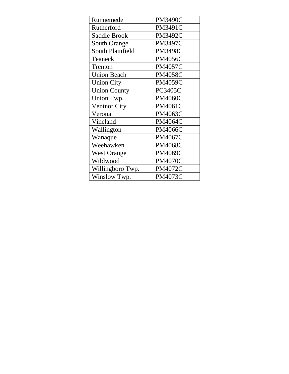| Runnemede               | <b>PM3490C</b> |
|-------------------------|----------------|
| Rutherford              | <b>PM3491C</b> |
| <b>Saddle Brook</b>     | <b>PM3492C</b> |
| <b>South Orange</b>     | <b>PM3497C</b> |
| <b>South Plainfield</b> | <b>PM3498C</b> |
| Teaneck                 | <b>PM4056C</b> |
| Trenton                 | <b>PM4057C</b> |
| <b>Union Beach</b>      | <b>PM4058C</b> |
| <b>Union City</b>       | <b>PM4059C</b> |
| <b>Union County</b>     | <b>PC3405C</b> |
| Union Twp.              | <b>PM4060C</b> |
| <b>Ventnor City</b>     | PM4061C        |
| Verona                  | <b>PM4063C</b> |
| Vineland                | <b>PM4064C</b> |
| Wallington              | <b>PM4066C</b> |
| Wanaque                 | <b>PM4067C</b> |
| Weehawken               | <b>PM4068C</b> |
| <b>West Orange</b>      | <b>PM4069C</b> |
| Wildwood                | <b>PM4070C</b> |
| Willingboro Twp.        | <b>PM4072C</b> |
| Winslow Twp.            | <b>PM4073C</b> |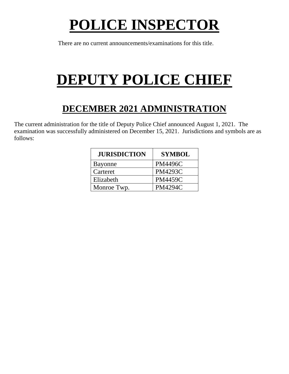# **POLICE INSPECTOR**

There are no current announcements/examinations for this title.

# **DEPUTY POLICE CHIEF**

#### **DECEMBER 2021 ADMINISTRATION**

The current administration for the title of Deputy Police Chief announced August 1, 2021. The examination was successfully administered on December 15, 2021. Jurisdictions and symbols are as follows:

| <b>JURISDICTION</b> | <b>SYMBOL</b>  |
|---------------------|----------------|
| <b>Bayonne</b>      | <b>PM4496C</b> |
| Carteret            | <b>PM4293C</b> |
| Elizabeth           | <b>PM4459C</b> |
| Monroe Twp.         | <b>PM4294C</b> |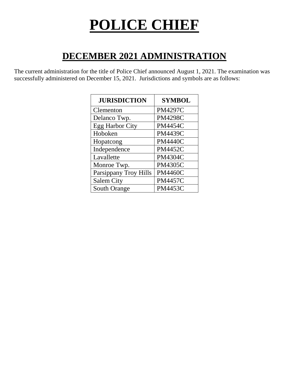# **POLICE CHIEF**

#### **DECEMBER 2021 ADMINISTRATION**

The current administration for the title of Police Chief announced August 1, 2021. The examination was successfully administered on December 15, 2021. Jurisdictions and symbols are as follows:

| <b>JURISDICTION</b>    | <b>SYMBOL</b>  |
|------------------------|----------------|
| Clementon              | <b>PM4297C</b> |
| Delanco Twp.           | <b>PM4298C</b> |
| <b>Egg Harbor City</b> | <b>PM4454C</b> |
| Hoboken                | <b>PM4439C</b> |
| Hopatcong              | <b>PM4440C</b> |
| Independence           | <b>PM4452C</b> |
| Lavallette             | <b>PM4304C</b> |
| Monroe Twp.            | <b>PM4305C</b> |
| Parsippany Troy Hills  | <b>PM4460C</b> |
| <b>Salem City</b>      | <b>PM4457C</b> |
| South Orange           | <b>PM4453C</b> |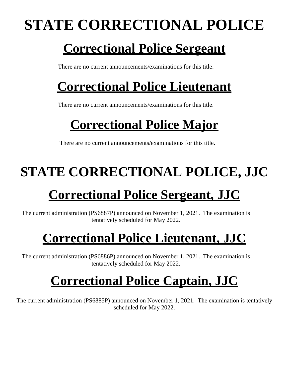# **STATE CORRECTIONAL POLICE**

#### **Correctional Police Sergeant**

There are no current announcements/examinations for this title.

### **Correctional Police Lieutenant**

There are no current announcements/examinations for this title.

### **Correctional Police Major**

There are no current announcements/examinations for this title.

## **STATE CORRECTIONAL POLICE, JJC**

### **Correctional Police Sergeant, JJC**

The current administration (PS6887P) announced on November 1, 2021. The examination is tentatively scheduled for May 2022.

### **Correctional Police Lieutenant, JJC**

The current administration (PS6886P) announced on November 1, 2021. The examination is tentatively scheduled for May 2022.

#### **Correctional Police Captain, JJC**

The current administration (PS6885P) announced on November 1, 2021. The examination is tentatively scheduled for May 2022.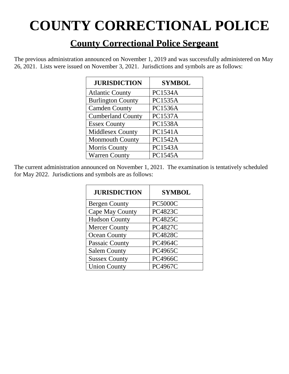# **COUNTY CORRECTIONAL POLICE**

#### **County Correctional Police Sergeant**

The previous administration announced on November 1, 2019 and was successfully administered on May 26, 2021. Lists were issued on November 3, 2021. Jurisdictions and symbols are as follows:

| <b>JURISDICTION</b>      | <b>SYMBOL</b>  |
|--------------------------|----------------|
| <b>Atlantic County</b>   | PC1534A        |
| <b>Burlington County</b> | <b>PC1535A</b> |
| <b>Camden County</b>     | <b>PC1536A</b> |
| <b>Cumberland County</b> | <b>PC1537A</b> |
| <b>Essex County</b>      | <b>PC1538A</b> |
| <b>Middlesex County</b>  | PC1541A        |
| <b>Monmouth County</b>   | <b>PC1542A</b> |
| <b>Morris County</b>     | <b>PC1543A</b> |
| <b>Warren County</b>     | <b>PC1545A</b> |

| <b>JURISDICTION</b>  | <b>SYMBOL</b>  |
|----------------------|----------------|
| <b>Bergen County</b> | <b>PC5000C</b> |
| Cape May County      | <b>PC4823C</b> |
| <b>Hudson County</b> | <b>PC4825C</b> |
| <b>Mercer County</b> | <b>PC4827C</b> |
| <b>Ocean County</b>  | <b>PC4828C</b> |
| Passaic County       | <b>PC4964C</b> |
| <b>Salem County</b>  | PC4965C        |
| <b>Sussex County</b> | <b>PC4966C</b> |
| <b>Union County</b>  | <b>PC4967C</b> |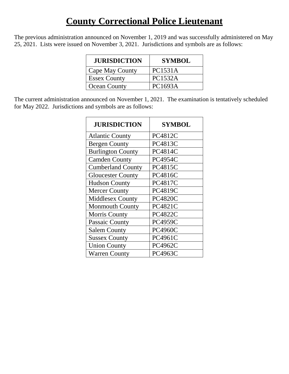#### **County Correctional Police Lieutenant**

The previous administration announced on November 1, 2019 and was successfully administered on May 25, 2021. Lists were issued on November 3, 2021. Jurisdictions and symbols are as follows:

| <b>JURISDICTION</b> | <b>SYMBOL</b>  |
|---------------------|----------------|
| Cape May County     | <b>PC1531A</b> |
| <b>Essex County</b> | <b>PC1532A</b> |
| <b>Ocean County</b> | PC1693A        |

| <b>JURISDICTION</b>      | <b>SYMBOL</b>  |
|--------------------------|----------------|
| <b>Atlantic County</b>   | PC4812C        |
| <b>Bergen County</b>     | PC4813C        |
| <b>Burlington County</b> | <b>PC4814C</b> |
| <b>Camden County</b>     | <b>PC4954C</b> |
| <b>Cumberland County</b> | <b>PC4815C</b> |
| <b>Gloucester County</b> | <b>PC4816C</b> |
| <b>Hudson County</b>     | <b>PC4817C</b> |
| <b>Mercer County</b>     | <b>PC4819C</b> |
| <b>Middlesex County</b>  | <b>PC4820C</b> |
| <b>Monmouth County</b>   | <b>PC4821C</b> |
| <b>Morris County</b>     | <b>PC4822C</b> |
| Passaic County           | <b>PC4959C</b> |
| <b>Salem County</b>      | <b>PC4960C</b> |
| <b>Sussex County</b>     | PC4961C        |
| <b>Union County</b>      | <b>PC4962C</b> |
| <b>Warren County</b>     | <b>PC4963C</b> |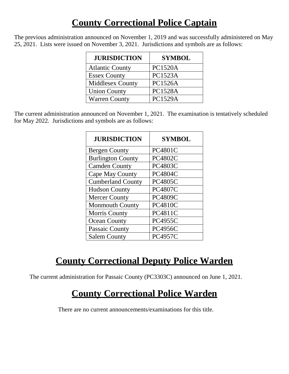#### **County Correctional Police Captain**

The previous administration announced on November 1, 2019 and was successfully administered on May 25, 2021. Lists were issued on November 3, 2021. Jurisdictions and symbols are as follows:

| <b>JURISDICTION</b>     | <b>SYMBOL</b>  |
|-------------------------|----------------|
| <b>Atlantic County</b>  | <b>PC1520A</b> |
| <b>Essex County</b>     | <b>PC1523A</b> |
| <b>Middlesex County</b> | <b>PC1526A</b> |
| <b>Union County</b>     | <b>PC1528A</b> |
| <b>Warren County</b>    | <b>PC1529A</b> |

The current administration announced on November 1, 2021. The examination is tentatively scheduled for May 2022. Jurisdictions and symbols are as follows:

| <b>JURISDICTION</b>      | <b>SYMBOL</b>  |
|--------------------------|----------------|
| <b>Bergen County</b>     | <b>PC4801C</b> |
| <b>Burlington County</b> | <b>PC4802C</b> |
| <b>Camden County</b>     | <b>PC4803C</b> |
| Cape May County          | <b>PC4804C</b> |
| <b>Cumberland County</b> | <b>PC4805C</b> |
| <b>Hudson County</b>     | <b>PC4807C</b> |
| <b>Mercer County</b>     | <b>PC4809C</b> |
| <b>Monmouth County</b>   | <b>PC4810C</b> |
| <b>Morris County</b>     | <b>PC4811C</b> |
| <b>Ocean County</b>      | <b>PC4955C</b> |
| Passaic County           | <b>PC4956C</b> |
| <b>Salem County</b>      | <b>PC4957C</b> |

#### **County Correctional Deputy Police Warden**

The current administration for Passaic County (PC3303C) announced on June 1, 2021.

#### **County Correctional Police Warden**

There are no current announcements/examinations for this title.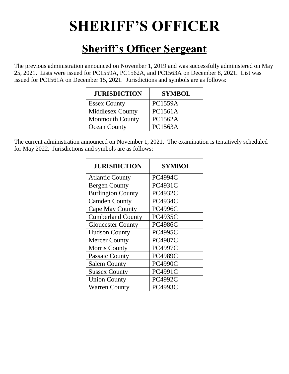## **SHERIFF'S OFFICER**

#### **Sheriff's Officer Sergeant**

The previous administration announced on November 1, 2019 and was successfully administered on May 25, 2021. Lists were issued for PC1559A, PC1562A, and PC1563A on December 8, 2021. List was issued for PC1561A on December 15, 2021. Jurisdictions and symbols are as follows:

| <b>JURISDICTION</b>     | <b>SYMBOL</b>  |
|-------------------------|----------------|
| <b>Essex County</b>     | <b>PC1559A</b> |
| <b>Middlesex County</b> | <b>PC1561A</b> |
| <b>Monmouth County</b>  | <b>PC1562A</b> |
| <b>Ocean County</b>     | <b>PC1563A</b> |

| <b>JURISDICTION</b>      | <b>SYMBOL</b>  |
|--------------------------|----------------|
| <b>Atlantic County</b>   | <b>PC4994C</b> |
| <b>Bergen County</b>     | <b>PC4931C</b> |
| <b>Burlington County</b> | <b>PC4932C</b> |
| <b>Camden County</b>     | <b>PC4934C</b> |
| Cape May County          | <b>PC4996C</b> |
| <b>Cumberland County</b> | <b>PC4935C</b> |
| <b>Gloucester County</b> | <b>PC4986C</b> |
| <b>Hudson County</b>     | <b>PC4995C</b> |
| <b>Mercer County</b>     | <b>PC4987C</b> |
| <b>Morris County</b>     | <b>PC4997C</b> |
| Passaic County           | <b>PC4989C</b> |
| <b>Salem County</b>      | <b>PC4990C</b> |
| <b>Sussex County</b>     | <b>PC4991C</b> |
| <b>Union County</b>      | <b>PC4992C</b> |
| <b>Warren County</b>     | <b>PC4993C</b> |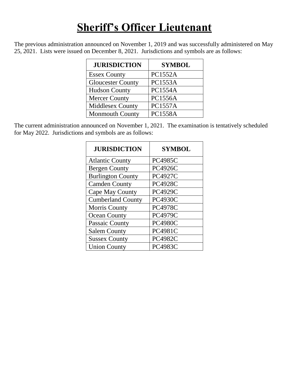#### **Sheriff's Officer Lieutenant**

The previous administration announced on November 1, 2019 and was successfully administered on May 25, 2021. Lists were issued on December 8, 2021. Jurisdictions and symbols are as follows:

| <b>JURISDICTION</b>      | <b>SYMBOL</b>  |
|--------------------------|----------------|
| <b>Essex County</b>      | <b>PC1552A</b> |
| <b>Gloucester County</b> | <b>PC1553A</b> |
| <b>Hudson County</b>     | <b>PC1554A</b> |
| <b>Mercer County</b>     | <b>PC1556A</b> |
| <b>Middlesex County</b>  | <b>PC1557A</b> |
| <b>Monmouth County</b>   | <b>PC1558A</b> |

| <b>JURISDICTION</b>      | <b>SYMBOL</b>  |
|--------------------------|----------------|
| <b>Atlantic County</b>   | <b>PC4985C</b> |
| <b>Bergen County</b>     | <b>PC4926C</b> |
| <b>Burlington County</b> | <b>PC4927C</b> |
| <b>Camden County</b>     | <b>PC4928C</b> |
| Cape May County          | <b>PC4929C</b> |
| <b>Cumberland County</b> | <b>PC4930C</b> |
| <b>Morris County</b>     | <b>PC4978C</b> |
| <b>Ocean County</b>      | <b>PC4979C</b> |
| Passaic County           | <b>PC4980C</b> |
| <b>Salem County</b>      | <b>PC4981C</b> |
| <b>Sussex County</b>     | <b>PC4982C</b> |
| <b>Union County</b>      | <b>PC4983C</b> |